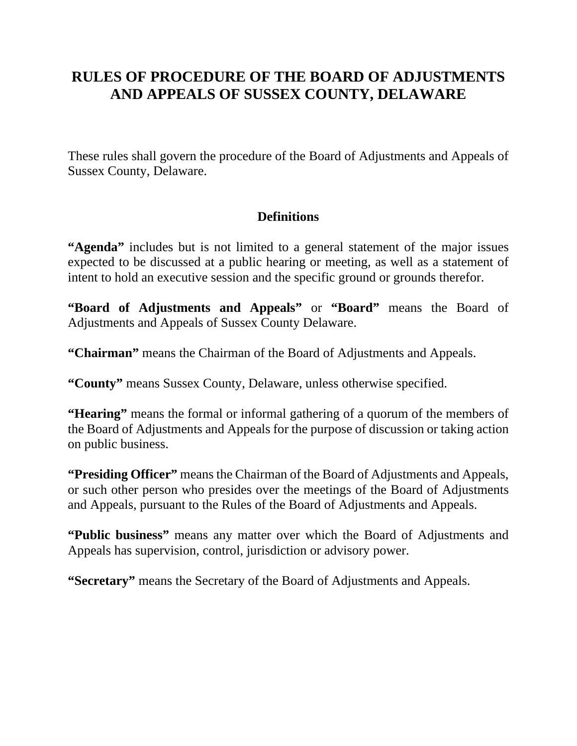# **RULES OF PROCEDURE OF THE BOARD OF ADJUSTMENTS AND APPEALS OF SUSSEX COUNTY, DELAWARE**

These rules shall govern the procedure of the Board of Adjustments and Appeals of Sussex County, Delaware.

### **Definitions**

"Agenda" includes but is not limited to a general statement of the major issues expected to be discussed at a public hearing or meeting, as well as a statement of intent to hold an executive session and the specific ground or grounds therefor.

**"Board of Adjustments and Appeals"** or **"Board"** means the Board of Adjustments and Appeals of Sussex County Delaware.

**"Chairman"** means the Chairman of the Board of Adjustments and Appeals.

**"County"** means Sussex County, Delaware, unless otherwise specified.

**"Hearing"** means the formal or informal gathering of a quorum of the members of the Board of Adjustments and Appeals for the purpose of discussion or taking action on public business.

**"Presiding Officer"** means the Chairman of the Board of Adjustments and Appeals, or such other person who presides over the meetings of the Board of Adjustments and Appeals, pursuant to the Rules of the Board of Adjustments and Appeals.

**"Public business"** means any matter over which the Board of Adjustments and Appeals has supervision, control, jurisdiction or advisory power.

**"Secretary"** means the Secretary of the Board of Adjustments and Appeals.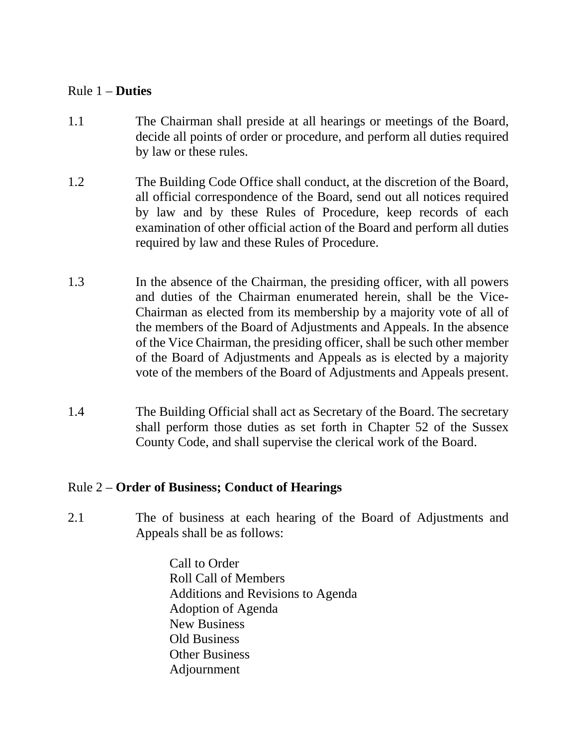#### Rule 1 – **Duties**

- 1.1 The Chairman shall preside at all hearings or meetings of the Board, decide all points of order or procedure, and perform all duties required by law or these rules.
- 1.2 The Building Code Office shall conduct, at the discretion of the Board, all official correspondence of the Board, send out all notices required by law and by these Rules of Procedure, keep records of each examination of other official action of the Board and perform all duties required by law and these Rules of Procedure.
- 1.3 In the absence of the Chairman, the presiding officer, with all powers and duties of the Chairman enumerated herein, shall be the Vice-Chairman as elected from its membership by a majority vote of all of the members of the Board of Adjustments and Appeals. In the absence of the Vice Chairman, the presiding officer, shall be such other member of the Board of Adjustments and Appeals as is elected by a majority vote of the members of the Board of Adjustments and Appeals present.
- 1.4 The Building Official shall act as Secretary of the Board. The secretary shall perform those duties as set forth in Chapter 52 of the Sussex County Code, and shall supervise the clerical work of the Board.

### Rule 2 – **Order of Business; Conduct of Hearings**

- 2.1 The of business at each hearing of the Board of Adjustments and Appeals shall be as follows:
	- Call to Order Roll Call of Members Additions and Revisions to Agenda Adoption of Agenda New Business Old Business Other Business Adjournment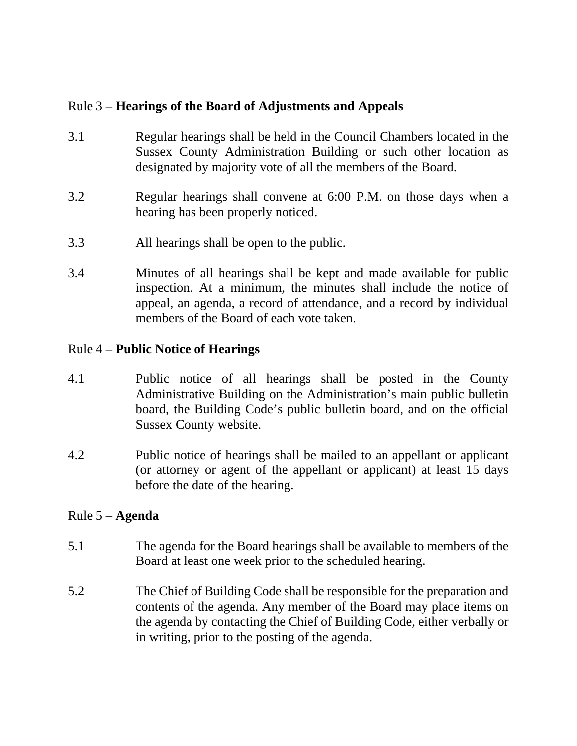### Rule 3 – **Hearings of the Board of Adjustments and Appeals**

- 3.1 Regular hearings shall be held in the Council Chambers located in the Sussex County Administration Building or such other location as designated by majority vote of all the members of the Board.
- 3.2 Regular hearings shall convene at 6:00 P.M. on those days when a hearing has been properly noticed.
- 3.3 All hearings shall be open to the public.
- 3.4 Minutes of all hearings shall be kept and made available for public inspection. At a minimum, the minutes shall include the notice of appeal, an agenda, a record of attendance, and a record by individual members of the Board of each vote taken.

### Rule 4 – **Public Notice of Hearings**

- 4.1 Public notice of all hearings shall be posted in the County Administrative Building on the Administration's main public bulletin board, the Building Code's public bulletin board, and on the official Sussex County website.
- 4.2 Public notice of hearings shall be mailed to an appellant or applicant (or attorney or agent of the appellant or applicant) at least 15 days before the date of the hearing.

### Rule 5 – **Agenda**

- 5.1 The agenda for the Board hearings shall be available to members of the Board at least one week prior to the scheduled hearing.
- 5.2 The Chief of Building Code shall be responsible for the preparation and contents of the agenda. Any member of the Board may place items on the agenda by contacting the Chief of Building Code, either verbally or in writing, prior to the posting of the agenda.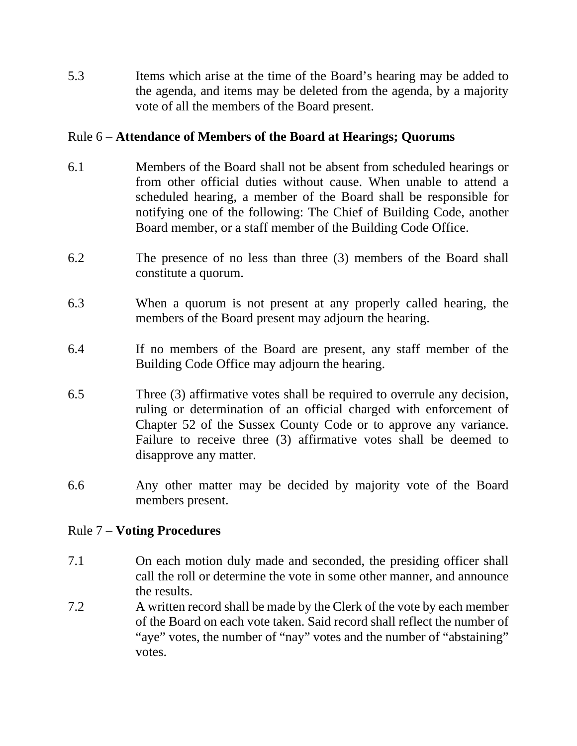5.3 Items which arise at the time of the Board's hearing may be added to the agenda, and items may be deleted from the agenda, by a majority vote of all the members of the Board present.

## Rule 6 – **Attendance of Members of the Board at Hearings; Quorums**

- 6.1 Members of the Board shall not be absent from scheduled hearings or from other official duties without cause. When unable to attend a scheduled hearing, a member of the Board shall be responsible for notifying one of the following: The Chief of Building Code, another Board member, or a staff member of the Building Code Office.
- 6.2 The presence of no less than three (3) members of the Board shall constitute a quorum.
- 6.3 When a quorum is not present at any properly called hearing, the members of the Board present may adjourn the hearing.
- 6.4 If no members of the Board are present, any staff member of the Building Code Office may adjourn the hearing.
- 6.5 Three (3) affirmative votes shall be required to overrule any decision, ruling or determination of an official charged with enforcement of Chapter 52 of the Sussex County Code or to approve any variance. Failure to receive three (3) affirmative votes shall be deemed to disapprove any matter.
- 6.6 Any other matter may be decided by majority vote of the Board members present.

### Rule 7 – **Voting Procedures**

- 7.1 On each motion duly made and seconded, the presiding officer shall call the roll or determine the vote in some other manner, and announce the results.
- 7.2 A written record shall be made by the Clerk of the vote by each member of the Board on each vote taken. Said record shall reflect the number of "aye" votes, the number of "nay" votes and the number of "abstaining" votes.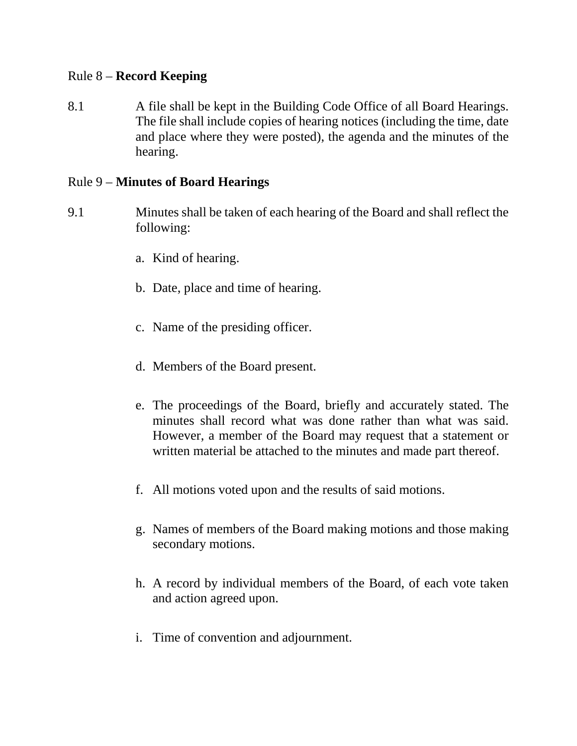#### Rule 8 – **Record Keeping**

8.1 A file shall be kept in the Building Code Office of all Board Hearings. The file shall include copies of hearing notices (including the time, date and place where they were posted), the agenda and the minutes of the hearing.

#### Rule 9 – **Minutes of Board Hearings**

- 9.1 Minutes shall be taken of each hearing of the Board and shall reflect the following:
	- a. Kind of hearing.
	- b. Date, place and time of hearing.
	- c. Name of the presiding officer.
	- d. Members of the Board present.
	- e. The proceedings of the Board, briefly and accurately stated. The minutes shall record what was done rather than what was said. However, a member of the Board may request that a statement or written material be attached to the minutes and made part thereof.
	- f. All motions voted upon and the results of said motions.
	- g. Names of members of the Board making motions and those making secondary motions.
	- h. A record by individual members of the Board, of each vote taken and action agreed upon.
	- i. Time of convention and adjournment.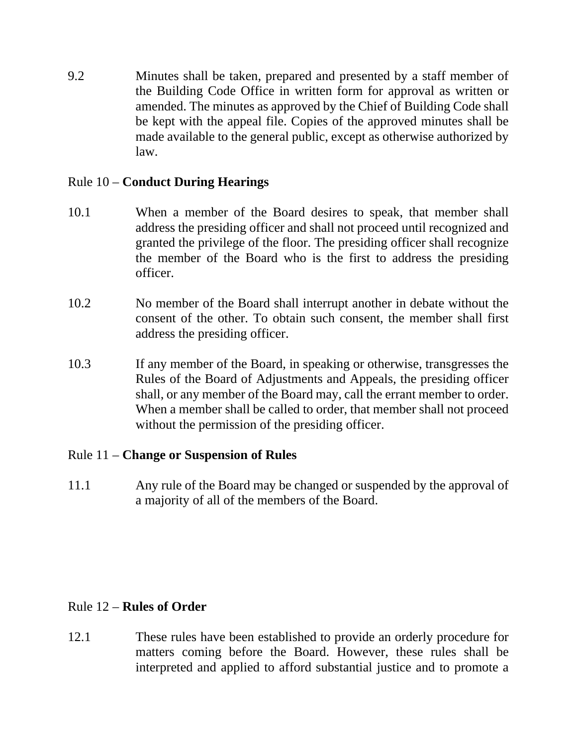9.2 Minutes shall be taken, prepared and presented by a staff member of the Building Code Office in written form for approval as written or amended. The minutes as approved by the Chief of Building Code shall be kept with the appeal file. Copies of the approved minutes shall be made available to the general public, except as otherwise authorized by law.

### Rule 10 – **Conduct During Hearings**

- 10.1 When a member of the Board desires to speak, that member shall address the presiding officer and shall not proceed until recognized and granted the privilege of the floor. The presiding officer shall recognize the member of the Board who is the first to address the presiding officer.
- 10.2 No member of the Board shall interrupt another in debate without the consent of the other. To obtain such consent, the member shall first address the presiding officer.
- 10.3 If any member of the Board, in speaking or otherwise, transgresses the Rules of the Board of Adjustments and Appeals, the presiding officer shall, or any member of the Board may, call the errant member to order. When a member shall be called to order, that member shall not proceed without the permission of the presiding officer.

# Rule 11 – **Change or Suspension of Rules**

11.1 Any rule of the Board may be changed or suspended by the approval of a majority of all of the members of the Board.

# Rule 12 – **Rules of Order**

12.1 These rules have been established to provide an orderly procedure for matters coming before the Board. However, these rules shall be interpreted and applied to afford substantial justice and to promote a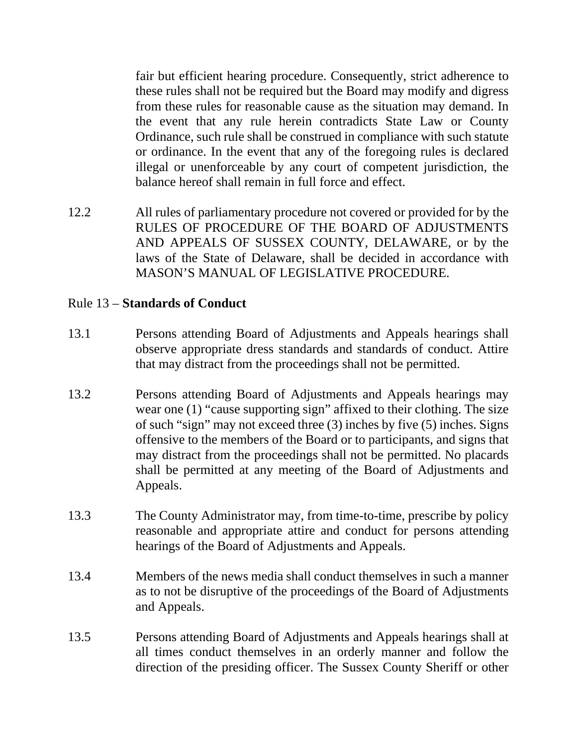fair but efficient hearing procedure. Consequently, strict adherence to these rules shall not be required but the Board may modify and digress from these rules for reasonable cause as the situation may demand. In the event that any rule herein contradicts State Law or County Ordinance, such rule shall be construed in compliance with such statute or ordinance. In the event that any of the foregoing rules is declared illegal or unenforceable by any court of competent jurisdiction, the balance hereof shall remain in full force and effect.

12.2 All rules of parliamentary procedure not covered or provided for by the RULES OF PROCEDURE OF THE BOARD OF ADJUSTMENTS AND APPEALS OF SUSSEX COUNTY, DELAWARE, or by the laws of the State of Delaware, shall be decided in accordance with MASON'S MANUAL OF LEGISLATIVE PROCEDURE.

### Rule 13 – **Standards of Conduct**

- 13.1 Persons attending Board of Adjustments and Appeals hearings shall observe appropriate dress standards and standards of conduct. Attire that may distract from the proceedings shall not be permitted.
- 13.2 Persons attending Board of Adjustments and Appeals hearings may wear one (1) "cause supporting sign" affixed to their clothing. The size of such "sign" may not exceed three (3) inches by five (5) inches. Signs offensive to the members of the Board or to participants, and signs that may distract from the proceedings shall not be permitted. No placards shall be permitted at any meeting of the Board of Adjustments and Appeals.
- 13.3 The County Administrator may, from time-to-time, prescribe by policy reasonable and appropriate attire and conduct for persons attending hearings of the Board of Adjustments and Appeals.
- 13.4 Members of the news media shall conduct themselves in such a manner as to not be disruptive of the proceedings of the Board of Adjustments and Appeals.
- 13.5 Persons attending Board of Adjustments and Appeals hearings shall at all times conduct themselves in an orderly manner and follow the direction of the presiding officer. The Sussex County Sheriff or other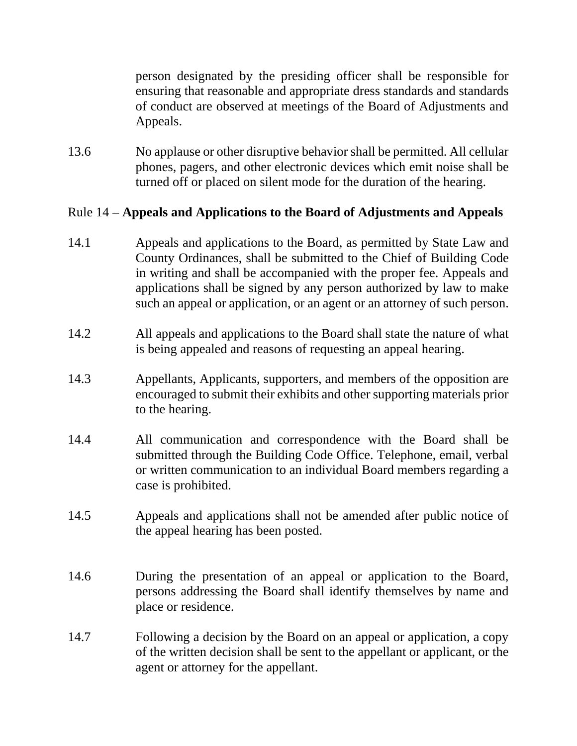person designated by the presiding officer shall be responsible for ensuring that reasonable and appropriate dress standards and standards of conduct are observed at meetings of the Board of Adjustments and Appeals.

13.6 No applause or other disruptive behavior shall be permitted. All cellular phones, pagers, and other electronic devices which emit noise shall be turned off or placed on silent mode for the duration of the hearing.

### Rule 14 – **Appeals and Applications to the Board of Adjustments and Appeals**

- 14.1 Appeals and applications to the Board, as permitted by State Law and County Ordinances, shall be submitted to the Chief of Building Code in writing and shall be accompanied with the proper fee. Appeals and applications shall be signed by any person authorized by law to make such an appeal or application, or an agent or an attorney of such person.
- 14.2 All appeals and applications to the Board shall state the nature of what is being appealed and reasons of requesting an appeal hearing.
- 14.3 Appellants, Applicants, supporters, and members of the opposition are encouraged to submit their exhibits and other supporting materials prior to the hearing.
- 14.4 All communication and correspondence with the Board shall be submitted through the Building Code Office. Telephone, email, verbal or written communication to an individual Board members regarding a case is prohibited.
- 14.5 Appeals and applications shall not be amended after public notice of the appeal hearing has been posted.
- 14.6 During the presentation of an appeal or application to the Board, persons addressing the Board shall identify themselves by name and place or residence.
- 14.7 Following a decision by the Board on an appeal or application, a copy of the written decision shall be sent to the appellant or applicant, or the agent or attorney for the appellant.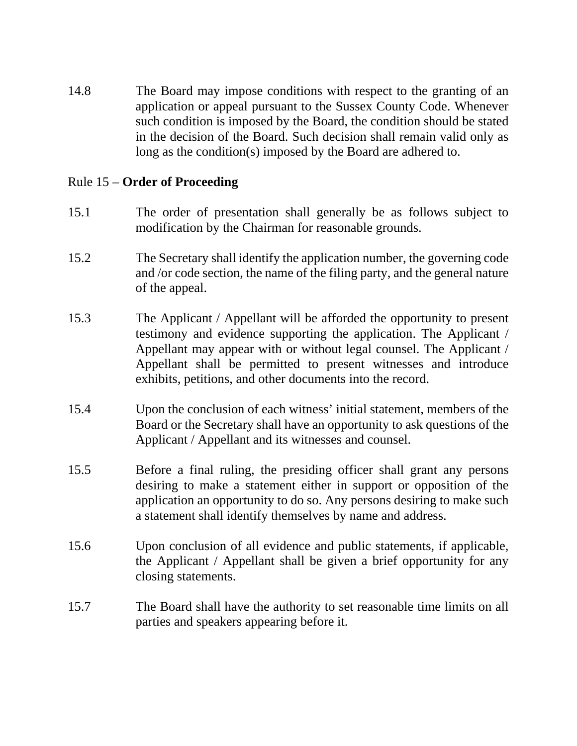14.8 The Board may impose conditions with respect to the granting of an application or appeal pursuant to the Sussex County Code. Whenever such condition is imposed by the Board, the condition should be stated in the decision of the Board. Such decision shall remain valid only as long as the condition(s) imposed by the Board are adhered to.

#### Rule 15 – **Order of Proceeding**

- 15.1 The order of presentation shall generally be as follows subject to modification by the Chairman for reasonable grounds.
- 15.2 The Secretary shall identify the application number, the governing code and /or code section, the name of the filing party, and the general nature of the appeal.
- 15.3 The Applicant / Appellant will be afforded the opportunity to present testimony and evidence supporting the application. The Applicant / Appellant may appear with or without legal counsel. The Applicant / Appellant shall be permitted to present witnesses and introduce exhibits, petitions, and other documents into the record.
- 15.4 Upon the conclusion of each witness' initial statement, members of the Board or the Secretary shall have an opportunity to ask questions of the Applicant / Appellant and its witnesses and counsel.
- 15.5 Before a final ruling, the presiding officer shall grant any persons desiring to make a statement either in support or opposition of the application an opportunity to do so. Any persons desiring to make such a statement shall identify themselves by name and address.
- 15.6 Upon conclusion of all evidence and public statements, if applicable, the Applicant / Appellant shall be given a brief opportunity for any closing statements.
- 15.7 The Board shall have the authority to set reasonable time limits on all parties and speakers appearing before it.